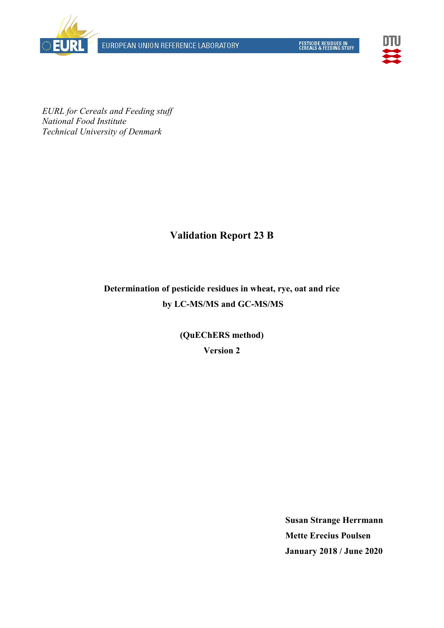





*EURL for Cereals and Feeding stuff National Food Institute Technical University of Denmark*

# **Validation Report 23 B**

# **Determination of pesticide residues in wheat, rye, oat and rice by LC-MS/MS and GC-MS/MS**

**(QuEChERS method) Version 2**

> **Susan Strange Herrmann Mette Erecius Poulsen January 2018 / June 2020**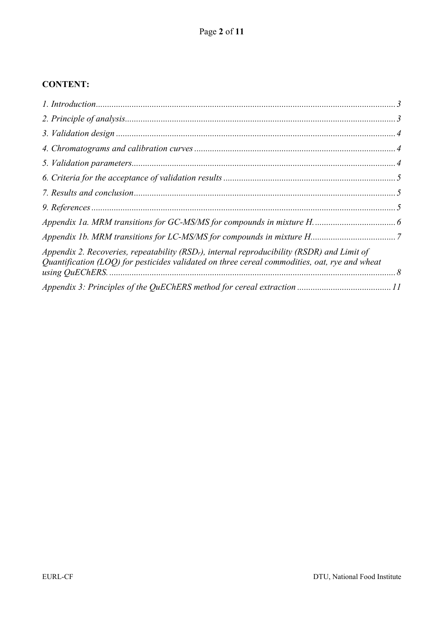# **CONTENT:**

| Appendix 2. Recoveries, repeatability ( $RSDr$ ), internal reproducibility ( $RSDR$ ) and Limit of<br>Quantification (LOQ) for pesticides validated on three cereal commodities, oat, rye and wheat<br>$using \t{QueCheRS. 388}$ |  |
|----------------------------------------------------------------------------------------------------------------------------------------------------------------------------------------------------------------------------------|--|
|                                                                                                                                                                                                                                  |  |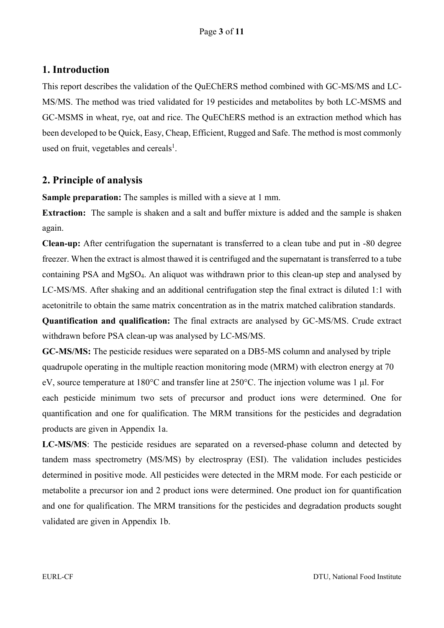# <span id="page-2-0"></span>**1. Introduction**

This report describes the validation of the QuEChERS method combined with GC-MS/MS and LC-MS/MS. The method was tried validated for 19 pesticides and metabolites by both LC-MSMS and GC-MSMS in wheat, rye, oat and rice. The QuEChERS method is an extraction method which has been developed to be Quick, Easy, Cheap, Efficient, Rugged and Safe. The method is most commonly used on fruit, vegetables and cereals<sup>1</sup>.

# <span id="page-2-1"></span>**2. Principle of analysis**

**Sample preparation:** The samples is milled with a sieve at 1 mm.

**Extraction:** The sample is shaken and a salt and buffer mixture is added and the sample is shaken again.

**Clean-up:** After centrifugation the supernatant is transferred to a clean tube and put in -80 degree freezer. When the extract is almost thawed it is centrifuged and the supernatant is transferred to a tube containing PSA and MgSO4. An aliquot was withdrawn prior to this clean-up step and analysed by LC-MS/MS. After shaking and an additional centrifugation step the final extract is diluted 1:1 with acetonitrile to obtain the same matrix concentration as in the matrix matched calibration standards.

**Quantification and qualification:** The final extracts are analysed by GC-MS/MS. Crude extract withdrawn before PSA clean-up was analysed by LC-MS/MS.

**GC-MS/MS:** The pesticide residues were separated on a DB5-MS column and analysed by triple quadrupole operating in the multiple reaction monitoring mode (MRM) with electron energy at 70 eV, source temperature at 180°C and transfer line at 250°C. The injection volume was 1 μl. For each pesticide minimum two sets of precursor and product ions were determined. One for quantification and one for qualification. The MRM transitions for the pesticides and degradation products are given in Appendix 1a.

**LC-MS/MS**: The pesticide residues are separated on a reversed-phase column and detected by tandem mass spectrometry (MS/MS) by electrospray (ESI). The validation includes pesticides determined in positive mode. All pesticides were detected in the MRM mode. For each pesticide or metabolite a precursor ion and 2 product ions were determined. One product ion for quantification and one for qualification. The MRM transitions for the pesticides and degradation products sought validated are given in Appendix 1b.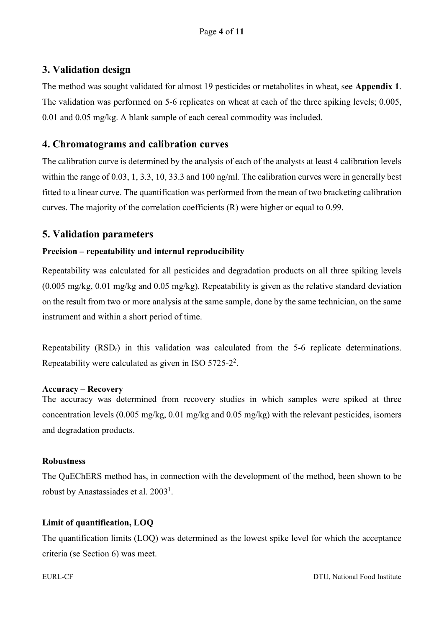# <span id="page-3-0"></span>**3. Validation design**

The method was sought validated for almost 19 pesticides or metabolites in wheat, see **Appendix 1**. The validation was performed on 5-6 replicates on wheat at each of the three spiking levels; 0.005, 0.01 and 0.05 mg/kg. A blank sample of each cereal commodity was included.

### <span id="page-3-1"></span>**4. Chromatograms and calibration curves**

The calibration curve is determined by the analysis of each of the analysts at least 4 calibration levels within the range of 0.03, 1, 3.3, 10, 33.3 and 100 ng/ml. The calibration curves were in generally best fitted to a linear curve. The quantification was performed from the mean of two bracketing calibration curves. The majority of the correlation coefficients (R) were higher or equal to 0.99.

### <span id="page-3-2"></span>**5. Validation parameters**

### **Precision – repeatability and internal reproducibility**

Repeatability was calculated for all pesticides and degradation products on all three spiking levels (0.005 mg/kg, 0.01 mg/kg and 0.05 mg/kg). Repeatability is given as the relative standard deviation on the result from two or more analysis at the same sample, done by the same technician, on the same instrument and within a short period of time.

Repeatability (RSDr) in this validation was calculated from the 5-6 replicate determinations. Repeatability were calculated as given in ISO  $5725-2^2$ .

#### **Accuracy – Recovery**

The accuracy was determined from recovery studies in which samples were spiked at three concentration levels (0.005 mg/kg, 0.01 mg/kg and 0.05 mg/kg) with the relevant pesticides, isomers and degradation products.

#### **Robustness**

The QuEChERS method has, in connection with the development of the method, been shown to be robust by Anastassiades et al. 2003<sup>1</sup>.

#### **Limit of quantification, LOQ**

The quantification limits (LOQ) was determined as the lowest spike level for which the acceptance criteria (se Section 6) was meet.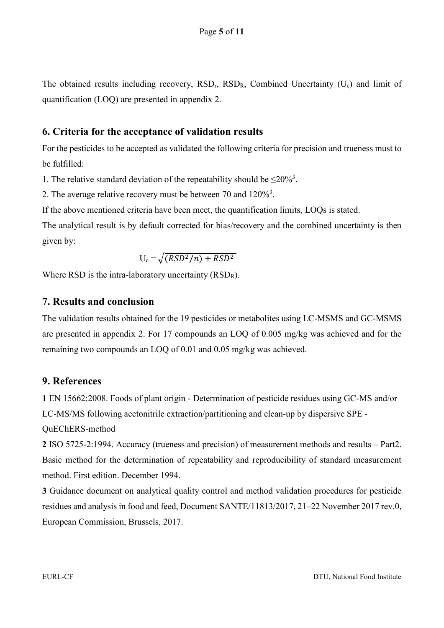The obtained results including recovery,  $RSD<sub>r</sub>$ ,  $RSD<sub>R</sub>$ , Combined Uncertainty (U<sub>c</sub>) and limit of quantification (LOQ) are presented in appendix 2.

# <span id="page-4-0"></span>**6. Criteria for the acceptance of validation results**

For the pesticides to be accepted as validated the following criteria for precision and trueness must to be fulfilled:

1. The relative standard deviation of the repeatability should be  $\leq 20\%$ <sup>3</sup>.

2. The average relative recovery must be between 70 and  $120\%$ <sup>3</sup>.

If the above mentioned criteria have been meet, the quantification limits, LOQs is stated.

The analytical result is by default corrected for bias/recovery and the combined uncertainty is then given by:

$$
U_c = \sqrt{(RSD^2/n) + RSD^2}
$$

Where RSD is the intra-laboratory uncertainty  $(RSD<sub>R</sub>)$ .

## <span id="page-4-1"></span>**7. Results and conclusion**

The validation results obtained for the 19 pesticides or metabolites using LC-MSMS and GC-MSMS are presented in appendix 2. For 17 compounds an LOQ of 0.005 mg/kg was achieved and for the remaining two compounds an LOQ of 0.01 and 0.05 mg/kg was achieved.

### <span id="page-4-2"></span>**9. References**

**1** [EN 15662:2008.](javascript:__doPostBack() Foods of plant origin - Determination of pesticide residues using GC-MS and/or LC-MS/MS following acetonitrile extraction/partitioning and clean-up by dispersive SPE -

### QuEChERS-method

**2** ISO 5725-2:1994. Accuracy (trueness and precision) of measurement methods and results – Part2. Basic method for the determination of repeatability and reproducibility of standard measurement method. First edition. December 1994.

**3** Guidance document on analytical quality control and method validation procedures for pesticide residues and analysis in food and feed, Document SANTE/11813/2017, 21–22 November 2017 rev.0, European Commission, Brussels, 2017.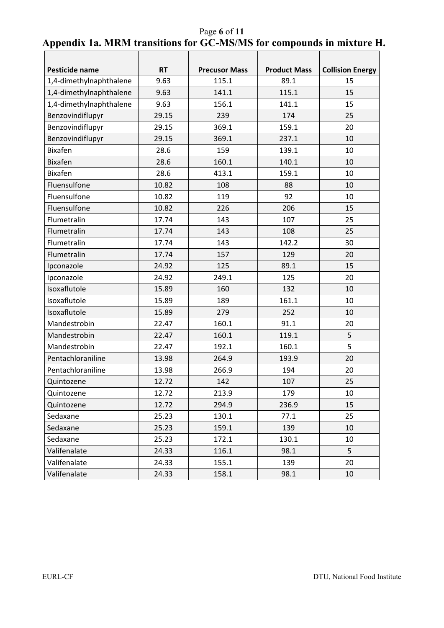<span id="page-5-0"></span>

|                                                                       | Page 6 of 11 |  |
|-----------------------------------------------------------------------|--------------|--|
| Appendix 1a. MRM transitions for GC-MS/MS for compounds in mixture H. |              |  |

| <b>Pesticide name</b>   | <b>RT</b> | <b>Precusor Mass</b> | <b>Product Mass</b> | <b>Collision Energy</b> |
|-------------------------|-----------|----------------------|---------------------|-------------------------|
| 1,4-dimethylnaphthalene | 9.63      | 115.1                | 89.1                | 15                      |
| 1,4-dimethylnaphthalene | 9.63      | 141.1                | 115.1               | 15                      |
| 1,4-dimethylnaphthalene | 9.63      | 156.1                | 141.1               | 15                      |
| Benzovindiflupyr        | 29.15     | 239                  | 174                 | 25                      |
| Benzovindiflupyr        | 29.15     | 369.1                | 159.1               | 20                      |
| Benzovindiflupyr        | 29.15     | 369.1                | 237.1               | 10                      |
| <b>Bixafen</b>          | 28.6      | 159                  | 139.1               | 10                      |
| <b>Bixafen</b>          | 28.6      | 160.1                | 140.1               | 10                      |
| <b>Bixafen</b>          | 28.6      | 413.1                | 159.1               | 10                      |
| Fluensulfone            | 10.82     | 108                  | 88                  | 10                      |
| Fluensulfone            | 10.82     | 119                  | 92                  | 10                      |
| Fluensulfone            | 10.82     | 226                  | 206                 | 15                      |
| Flumetralin             | 17.74     | 143                  | 107                 | 25                      |
| Flumetralin             | 17.74     | 143                  | 108                 | 25                      |
| Flumetralin             | 17.74     | 143                  | 142.2               | 30                      |
| Flumetralin             | 17.74     | 157                  | 129                 | 20                      |
| Ipconazole              | 24.92     | 125                  | 89.1                | 15                      |
| Ipconazole              | 24.92     | 249.1                | 125                 | 20                      |
| Isoxaflutole            | 15.89     | 160                  | 132                 | 10                      |
| Isoxaflutole            | 15.89     | 189                  | 161.1               | 10                      |
| Isoxaflutole            | 15.89     | 279                  | 252                 | 10                      |
| Mandestrobin            | 22.47     | 160.1                | 91.1                | 20                      |
| Mandestrobin            | 22.47     | 160.1                | 119.1               | 5                       |
| Mandestrobin            | 22.47     | 192.1                | 160.1               | 5                       |
| Pentachloraniline       | 13.98     | 264.9                | 193.9               | 20                      |
| Pentachloraniline       | 13.98     | 266.9                | 194                 | 20                      |
| Quintozene              | 12.72     | 142                  | 107                 | 25                      |
| Quintozene              | 12.72     | 213.9                | 179                 | 10                      |
| Quintozene              | 12.72     | 294.9                | 236.9               | 15                      |
| Sedaxane                | 25.23     | 130.1                | 77.1                | 25                      |
| Sedaxane                | 25.23     | 159.1                | 139                 | 10                      |
| Sedaxane                | 25.23     | 172.1                | 130.1               | 10                      |
| Valifenalate            | 24.33     | 116.1                | 98.1                | 5                       |
| Valifenalate            | 24.33     | 155.1                | 139                 | 20                      |
| Valifenalate            | 24.33     | 158.1                | 98.1                | 10                      |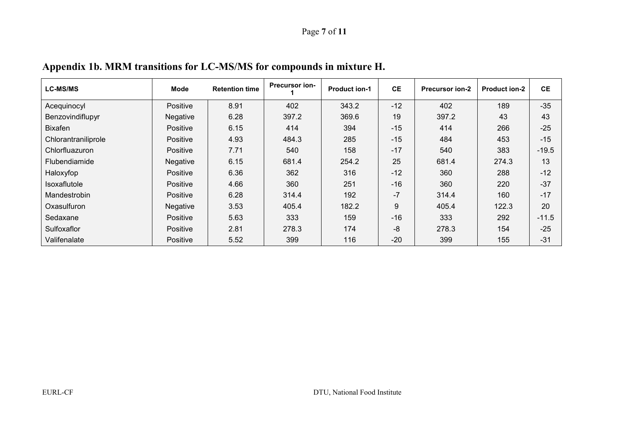# Page **7** of **11**

<span id="page-6-0"></span>

| <b>LC-MS/MS</b>     | Mode            | <b>Retention time</b> |       | <b>Product ion-1</b> | <b>CE</b> | <b>Precursor ion-2</b> | <b>Product ion-2</b> | <b>CE</b> |
|---------------------|-----------------|-----------------------|-------|----------------------|-----------|------------------------|----------------------|-----------|
| Acequinocyl         | Positive        | 8.91                  | 402   | 343.2                | $-12$     | 402                    | 189                  | $-35$     |
| Benzovindiflupyr    | Negative        | 6.28                  | 397.2 | 369.6                | 19        | 397.2                  | 43                   | 43        |
| <b>Bixafen</b>      | Positive        | 6.15                  | 414   | 394                  | $-15$     | 414                    | 266                  | $-25$     |
| Chlorantraniliprole | Positive        | 4.93                  | 484.3 | 285                  | $-15$     | 484                    | 453                  | $-15$     |
| Chlorfluazuron      | Positive        | 7.71                  | 540   | 158                  | $-17$     | 540                    | 383                  | $-19.5$   |
| Flubendiamide       | Negative        | 6.15                  | 681.4 | 254.2                | 25        | 681.4                  | 274.3                | 13        |
| Haloxyfop           | Positive        | 6.36                  | 362   | 316                  | $-12$     | 360                    | 288                  | $-12$     |
| Isoxaflutole        | Positive        | 4.66                  | 360   | 251                  | $-16$     | 360                    | 220                  | $-37$     |
| Mandestrobin        | Positive        | 6.28                  | 314.4 | 192                  | $-7$      | 314.4                  | 160                  | $-17$     |
| Oxasulfuron         | Negative        | 3.53                  | 405.4 | 182.2                | 9         | 405.4                  | 122.3                | 20        |
| Sedaxane            | Positive        | 5.63                  | 333   | 159                  | $-16$     | 333                    | 292                  | $-11.5$   |
| Sulfoxaflor         | <b>Positive</b> | 2.81                  | 278.3 | 174                  | $-8$      | 278.3                  | 154                  | $-25$     |
| Valifenalate        | <b>Positive</b> | 5.52                  | 399   | 116                  | $-20$     | 399                    | 155                  | $-31$     |

# **Appendix 1b. MRM transitions for LC-MS/MS for compounds in mixture H.**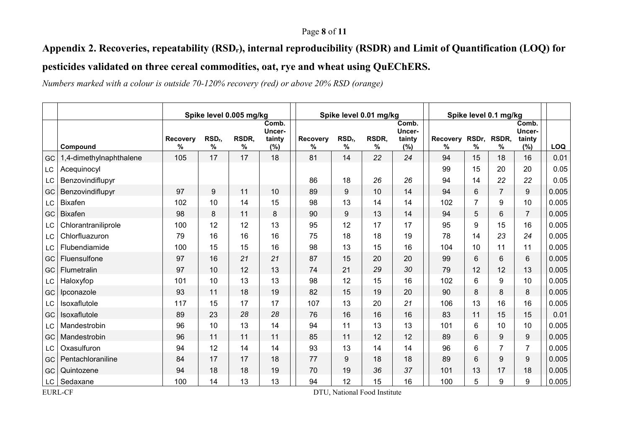## Page **8** of **11**

# **Appendix 2. Recoveries, repeatability (RSDr), internal reproducibility (RSDR) and Limit of Quantification (LOQ) for**

# **pesticides validated on three cereal commodities, oat, rye and wheat using QuEChERS.**

*Numbers marked with a colour is outside 70-120% recovery (red) or above 20% RSD (orange)*

<span id="page-7-0"></span>

|           |                         | Spike level 0.005 mg/kg |                            |               |                                     | Spike level 0.01 mg/kg | Spike level 0.1 mg/kg   |               |                                  |               |               |                |                                  |            |
|-----------|-------------------------|-------------------------|----------------------------|---------------|-------------------------------------|------------------------|-------------------------|---------------|----------------------------------|---------------|---------------|----------------|----------------------------------|------------|
|           | Compound                | <b>Recovery</b><br>℅    | RSD <sub>r</sub> ,<br>$\%$ | RSDR,<br>$\%$ | Comb.<br>Uncer-<br>tainty<br>$(\%)$ | <b>Recovery</b><br>%   | RSD <sub>r</sub> ,<br>% | RSDR,<br>$\%$ | Comb.<br>Uncer-<br>tainty<br>(%) | Recovery<br>% | RSDr,<br>$\%$ | RSDR,<br>%     | Comb.<br>Uncer-<br>tainty<br>(%) | <b>LOQ</b> |
| GC        | 1,4-dimethylnaphthalene | 105                     | 17                         | 17            | 18                                  | 81                     | 14                      | 22            | 24                               | 94            | 15            | 18             | 16                               | 0.01       |
| LC        | Acequinocyl             |                         |                            |               |                                     |                        |                         |               |                                  | 99            | 15            | 20             | 20                               | 0.05       |
| LC        | Benzovindiflupyr        |                         |                            |               |                                     | 86                     | 18                      | 26            | 26                               | 94            | 14            | 22             | 22                               | 0.05       |
| GC        | Benzovindiflupyr        | 97                      | 9                          | 11            | 10                                  | 89                     | 9                       | 10            | 14                               | 94            | 6             | $\overline{7}$ | 9                                | 0.005      |
| <b>LC</b> | <b>Bixafen</b>          | 102                     | 10                         | 14            | 15                                  | 98                     | 13                      | 14            | 14                               | 102           | 7             | 9              | 10                               | 0.005      |
| GC        | <b>Bixafen</b>          | 98                      | 8                          | 11            | 8                                   | 90                     | 9                       | 13            | 14                               | 94            | 5             | 6              | $\overline{7}$                   | 0.005      |
| <b>LC</b> | Chlorantraniliprole     | 100                     | 12                         | 12            | 13                                  | 95                     | 12                      | 17            | 17                               | 95            | 9             | 15             | 16                               | 0.005      |
| LC        | Chlorfluazuron          | 79                      | 16                         | 16            | 16                                  | 75                     | 18                      | 18            | 19                               | 78            | 14            | 23             | 24                               | 0.005      |
| LC        | Flubendiamide           | 100                     | 15                         | 15            | 16                                  | 98                     | 13                      | 15            | 16                               | 104           | 10            | 11             | 11                               | 0.005      |
| GC        | Fluensulfone            | 97                      | 16                         | 21            | 21                                  | 87                     | 15                      | 20            | 20                               | 99            | 6             | 6              | 6                                | 0.005      |
| GC        | Flumetralin             | 97                      | 10                         | 12            | 13                                  | 74                     | 21                      | 29            | 30                               | 79            | 12            | 12             | 13                               | 0.005      |
| LC        | Haloxyfop               | 101                     | 10                         | 13            | 13                                  | 98                     | 12                      | 15            | 16                               | 102           | 6             | 9              | 10                               | 0.005      |
| GC        | Ipconazole              | 93                      | 11                         | 18            | 19                                  | 82                     | 15                      | 19            | 20                               | 90            | 8             | 8              | 8                                | 0.005      |
| LC        | Isoxaflutole            | 117                     | 15                         | 17            | 17                                  | 107                    | 13                      | 20            | 21                               | 106           | 13            | 16             | 16                               | 0.005      |
| GC        | Isoxaflutole            | 89                      | 23                         | 28            | 28                                  | 76                     | 16                      | 16            | 16                               | 83            | 11            | 15             | 15                               | 0.01       |
| LC        | Mandestrobin            | 96                      | 10                         | 13            | 14                                  | 94                     | 11                      | 13            | 13                               | 101           | 6             | 10             | 10                               | 0.005      |
| GC        | Mandestrobin            | 96                      | 11                         | 11            | 11                                  | 85                     | 11                      | 12            | 12                               | 89            | 6             | 9              | 9                                | 0.005      |
| LC        | Oxasulfuron             | 94                      | 12                         | 14            | 14                                  | 93                     | 13                      | 14            | 14                               | 96            | 6             |                | 7                                | 0.005      |
| GC        | Pentachloraniline       | 84                      | 17                         | 17            | 18                                  | 77                     | 9                       | 18            | 18                               | 89            | 6             | 9              | 9                                | 0.005      |
| GC        | Quintozene              | 94                      | 18                         | 18            | 19                                  | 70                     | 19                      | 36            | 37                               | 101           | 13            | 17             | 18                               | 0.005      |
| LC.       | Sedaxane                | 100                     | 14                         | 13            | 13                                  | 94                     | 12                      | 15            | 16                               | 100           | 5             | 9              | 9                                | 0.005      |

EURL-CF DTU, National Food Institute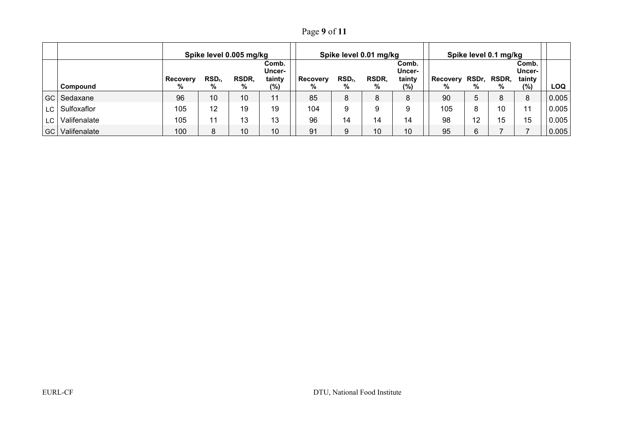Page **9** of **11**

|      |              | Spike level 0.005 mg/kg |                  |              |                           |                 | Spike level 0.01 mg/kg |       |                           |          | Spike level 0.1 mg/kg |       |                                  |       |
|------|--------------|-------------------------|------------------|--------------|---------------------------|-----------------|------------------------|-------|---------------------------|----------|-----------------------|-------|----------------------------------|-------|
|      |              | <b>Recovery</b>         | RSD <sub>r</sub> | <b>RSDR.</b> | Comb.<br>Uncer-<br>tainty | <b>Recovery</b> | RSD <sub>r</sub>       | RSDR, | Comb.<br>Uncer-<br>tainty | Recovery | RSDr.                 | RSDR, | Comb.<br><b>Uncer-</b><br>tainty |       |
|      | Compound     | %                       | %                | %            | (%)                       | %               | ℅                      | %     | $(\%)$                    | %        | %                     | %     | (%)                              | LOQ   |
| GC I | Sedaxane     | 96                      | 10 <sup>°</sup>  | 10           | 11                        | 85              | 8                      | 8     | 8                         | 90       | 5                     | 8     | 8                                | 0.005 |
| LC.  | Sulfoxaflor  | 105                     | 12               | 19           | 19                        | 104             |                        | 9     |                           | 105      |                       | 10    |                                  | 0.005 |
| LC.  | Valifenalate | 105                     | 11               | 13           | 13                        | 96              | 14                     | 14    | 14                        | 98       | 12                    | 15    | 15                               | 0.005 |
| GC   | Valifenalate | 100                     | 8                | 10           | 10                        | 91              |                        | 10    | 10                        | 95       |                       |       |                                  | 0.005 |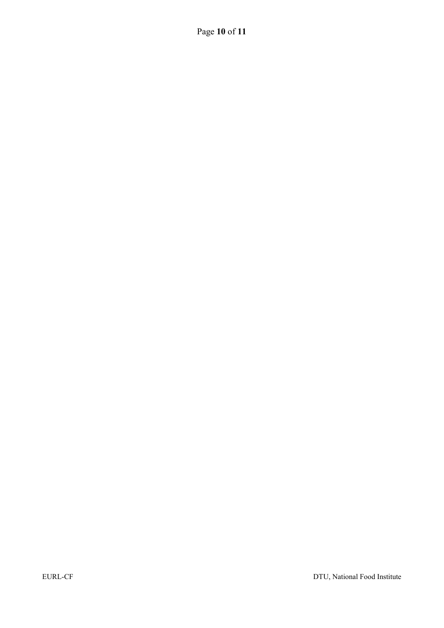Page **10** of **11**